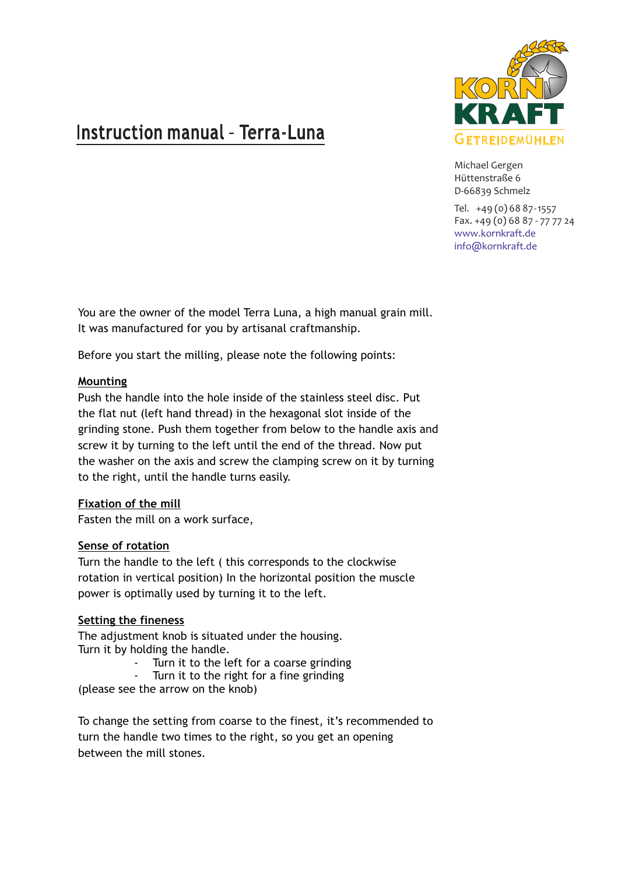# Instruction manual - Terra-Luna



Michael Gergen Hüttenstraße 6 D-66839 Schmelz

Tel. +49 (0) 68 87-1557 Fax. +49 (0) 68 87 - 77 77 24 www.kornkraft.de info@kornkraft.de

You are the owner of the model Terra Luna, a high manual grain mill. It was manufactured for you by artisanal craftmanship.

Before you start the milling, please note the following points:

## **Mounting**

Push the handle into the hole inside of the stainless steel disc. Put the flat nut (left hand thread) in the hexagonal slot inside of the grinding stone. Push them together from below to the handle axis and screw it by turning to the left until the end of the thread. Now put the washer on the axis and screw the clamping screw on it by turning to the right, until the handle turns easily.

#### **Fixation of the mill**

Fasten the mill on a work surface,

#### **Sense of rotation**

Turn the handle to the left ( this corresponds to the clockwise rotation in vertical position) In the horizontal position the muscle power is optimally used by turning it to the left.

#### **Setting the fineness**

The adjustment knob is situated under the housing. Turn it by holding the handle.

- Turn it to the left for a coarse grinding
- Turn it to the right for a fine grinding

(please see the arrow on the knob)

To change the setting from coarse to the finest, it's recommended to turn the handle two times to the right, so you get an opening between the mill stones.